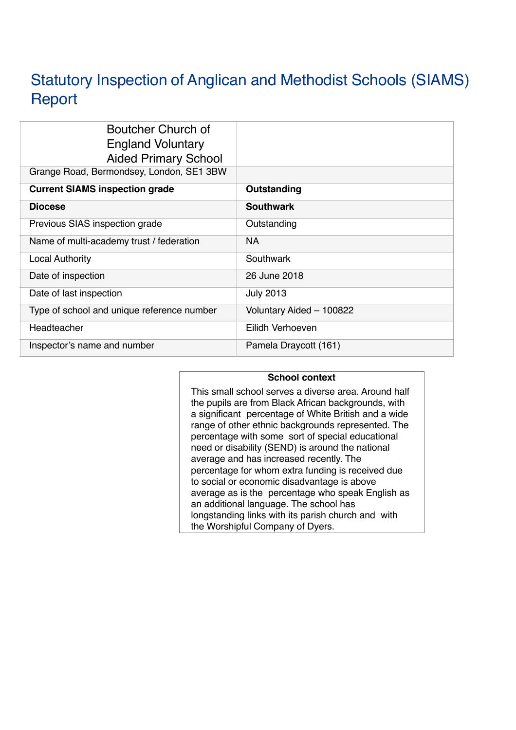# Statutory Inspection of Anglican and Methodist Schools (SIAMS) **Report**

| Boutcher Church of<br><b>England Voluntary</b><br><b>Aided Primary School</b><br>Grange Road, Bermondsey, London, SE1 3BW |                          |
|---------------------------------------------------------------------------------------------------------------------------|--------------------------|
|                                                                                                                           |                          |
| <b>Current SIAMS inspection grade</b>                                                                                     | Outstanding              |
| <b>Diocese</b>                                                                                                            | <b>Southwark</b>         |
| Previous SIAS inspection grade                                                                                            | Outstanding              |
| Name of multi-academy trust / federation                                                                                  | <b>NA</b>                |
| <b>Local Authority</b>                                                                                                    | Southwark                |
| Date of inspection                                                                                                        | 26 June 2018             |
| Date of last inspection                                                                                                   | <b>July 2013</b>         |
| Type of school and unique reference number                                                                                | Voluntary Aided - 100822 |
| Headteacher                                                                                                               | Eilidh Verhoeven         |
| Inspector's name and number                                                                                               | Pamela Draycott (161)    |

## **School context**

This small school serves a diverse area. Around half the pupils are from Black African backgrounds, with a significant percentage of White British and a wide range of other ethnic backgrounds represented. The percentage with some sort of special educational need or disability (SEND) is around the national average and has increased recently. The percentage for whom extra funding is received due to social or economic disadvantage is above average as is the percentage who speak English as an additional language. The school has longstanding links with its parish church and with the Worshipful Company of Dyers.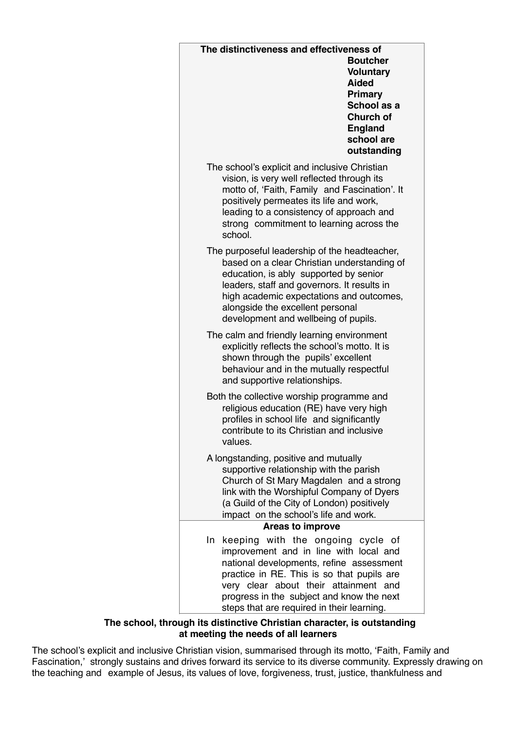| The distinctiveness and effectiveness of<br><b>Boutcher</b><br><b>Voluntary</b><br><b>Aided</b><br>Primary<br>School as a<br><b>Church of</b><br><b>England</b><br>school are<br>outstanding                                                                                                                     |
|------------------------------------------------------------------------------------------------------------------------------------------------------------------------------------------------------------------------------------------------------------------------------------------------------------------|
| The school's explicit and inclusive Christian<br>vision, is very well reflected through its<br>motto of, 'Faith, Family and Fascination'. It<br>positively permeates its life and work,<br>leading to a consistency of approach and<br>strong commitment to learning across the<br>school.                       |
| The purposeful leadership of the headteacher,<br>based on a clear Christian understanding of<br>education, is ably supported by senior<br>leaders, staff and governors. It results in<br>high academic expectations and outcomes,<br>alongside the excellent personal<br>development and wellbeing of pupils.    |
| The calm and friendly learning environment<br>explicitly reflects the school's motto. It is<br>shown through the pupils' excellent<br>behaviour and in the mutually respectful<br>and supportive relationships.                                                                                                  |
| Both the collective worship programme and<br>religious education (RE) have very high<br>profiles in school life and significantly<br>contribute to its Christian and inclusive<br>values.                                                                                                                        |
| A longstanding, positive and mutually<br>supportive relationship with the parish<br>Church of St Mary Magdalen and a strong<br>link with the Worshipful Company of Dyers<br>(a Guild of the City of London) positively<br>impact on the school's life and work.                                                  |
| <b>Areas to improve</b>                                                                                                                                                                                                                                                                                          |
| keeping with the ongoing cycle of<br>In.<br>improvement and in line with local and<br>national developments, refine assessment<br>practice in RE. This is so that pupils are<br>very clear about their attainment and<br>progress in the subject and know the next<br>steps that are required in their learning. |

### **The school, through its distinctive Christian character, is outstanding at meeting the needs of all learners**

The school's explicit and inclusive Christian vision, summarised through its motto, 'Faith, Family and Fascination,' strongly sustains and drives forward its service to its diverse community. Expressly drawing on the teaching and example of Jesus, its values of love, forgiveness, trust, justice, thankfulness and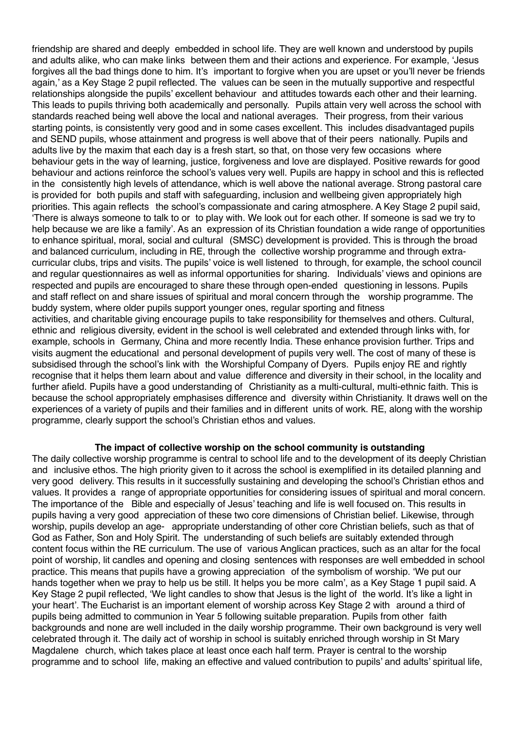friendship are shared and deeply embedded in school life. They are well known and understood by pupils and adults alike, who can make links between them and their actions and experience. For example, 'Jesus forgives all the bad things done to him. It's important to forgive when you are upset or you'll never be friends again,' as a Key Stage 2 pupil reflected. The values can be seen in the mutually supportive and respectful relationships alongside the pupils' excellent behaviour and attitudes towards each other and their learning. This leads to pupils thriving both academically and personally. Pupils attain very well across the school with standards reached being well above the local and national averages. Their progress, from their various starting points, is consistently very good and in some cases excellent. This includes disadvantaged pupils and SEND pupils, whose attainment and progress is well above that of their peers nationally. Pupils and adults live by the maxim that each day is a fresh start, so that, on those very few occasions where behaviour gets in the way of learning, justice, forgiveness and love are displayed. Positive rewards for good behaviour and actions reinforce the school's values very well. Pupils are happy in school and this is reflected in the consistently high levels of attendance, which is well above the national average. Strong pastoral care is provided for both pupils and staff with safeguarding, inclusion and wellbeing given appropriately high priorities. This again reflects the school's compassionate and caring atmosphere. A Key Stage 2 pupil said, 'There is always someone to talk to or to play with. We look out for each other. If someone is sad we try to help because we are like a family'. As an expression of its Christian foundation a wide range of opportunities to enhance spiritual, moral, social and cultural (SMSC) development is provided. This is through the broad and balanced curriculum, including in RE, through the collective worship programme and through extracurricular clubs, trips and visits. The pupils' voice is well listened to through, for example, the school council and regular questionnaires as well as informal opportunities for sharing. Individuals' views and opinions are respected and pupils are encouraged to share these through open-ended questioning in lessons. Pupils and staff reflect on and share issues of spiritual and moral concern through the worship programme. The buddy system, where older pupils support younger ones, regular sporting and fitness activities, and charitable giving encourage pupils to take responsibility for themselves and others. Cultural, ethnic and religious diversity, evident in the school is well celebrated and extended through links with, for example, schools in Germany, China and more recently India. These enhance provision further. Trips and visits augment the educational and personal development of pupils very well. The cost of many of these is subsidised through the school's link with the Worshipful Company of Dyers. Pupils enjoy RE and rightly recognise that it helps them learn about and value difference and diversity in their school, in the locality and further afield. Pupils have a good understanding of Christianity as a multi-cultural, multi-ethnic faith. This is because the school appropriately emphasises difference and diversity within Christianity. It draws well on the experiences of a variety of pupils and their families and in different units of work. RE, along with the worship programme, clearly support the school's Christian ethos and values.

#### **The impact of collective worship on the school community is outstanding**

The daily collective worship programme is central to school life and to the development of its deeply Christian and inclusive ethos. The high priority given to it across the school is exemplified in its detailed planning and very good delivery. This results in it successfully sustaining and developing the school's Christian ethos and values. It provides a range of appropriate opportunities for considering issues of spiritual and moral concern. The importance of the Bible and especially of Jesus' teaching and life is well focused on. This results in pupils having a very good appreciation of these two core dimensions of Christian belief. Likewise, through worship, pupils develop an age- appropriate understanding of other core Christian beliefs, such as that of God as Father, Son and Holy Spirit. The understanding of such beliefs are suitably extended through content focus within the RE curriculum. The use of various Anglican practices, such as an altar for the focal point of worship, lit candles and opening and closing sentences with responses are well embedded in school practice. This means that pupils have a growing appreciation of the symbolism of worship. 'We put our hands together when we pray to help us be still. It helps you be more calm', as a Key Stage 1 pupil said. A Key Stage 2 pupil reflected, 'We light candles to show that Jesus is the light of the world. It's like a light in your heart'. The Eucharist is an important element of worship across Key Stage 2 with around a third of pupils being admitted to communion in Year 5 following suitable preparation. Pupils from other faith backgrounds and none are well included in the daily worship programme. Their own background is very well celebrated through it. The daily act of worship in school is suitably enriched through worship in St Mary Magdalene church, which takes place at least once each half term. Prayer is central to the worship programme and to school life, making an effective and valued contribution to pupils' and adults' spiritual life,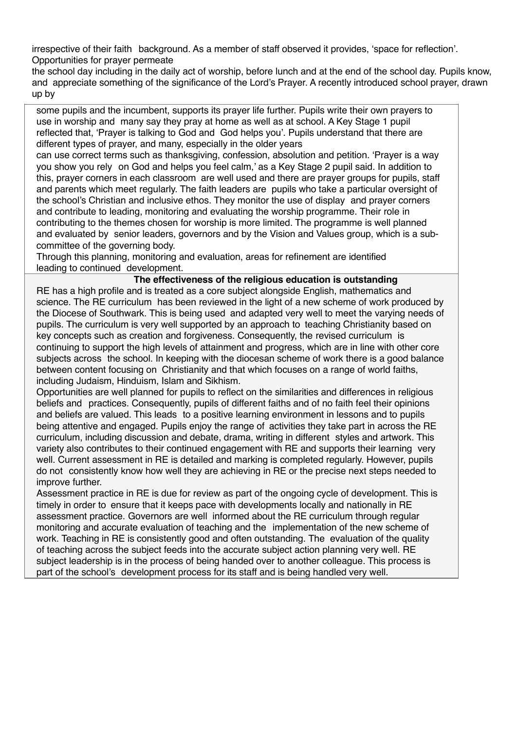irrespective of their faith background. As a member of staff observed it provides, 'space for reflection'. Opportunities for prayer permeate

the school day including in the daily act of worship, before lunch and at the end of the school day. Pupils know, and appreciate something of the significance of the Lord's Prayer. A recently introduced school prayer, drawn up by

some pupils and the incumbent, supports its prayer life further. Pupils write their own prayers to use in worship and many say they pray at home as well as at school. A Key Stage 1 pupil reflected that, 'Prayer is talking to God and God helps you'. Pupils understand that there are different types of prayer, and many, especially in the older years

can use correct terms such as thanksgiving, confession, absolution and petition. 'Prayer is a way you show you rely on God and helps you feel calm,' as a Key Stage 2 pupil said. In addition to this, prayer corners in each classroom are well used and there are prayer groups for pupils, staff and parents which meet regularly. The faith leaders are pupils who take a particular oversight of the school's Christian and inclusive ethos. They monitor the use of display and prayer corners and contribute to leading, monitoring and evaluating the worship programme. Their role in contributing to the themes chosen for worship is more limited. The programme is well planned and evaluated by senior leaders, governors and by the Vision and Values group, which is a subcommittee of the governing body.

Through this planning, monitoring and evaluation, areas for refinement are identified leading to continued development.

#### **The effectiveness of the religious education is outstanding**

RE has a high profile and is treated as a core subject alongside English, mathematics and science. The RE curriculum has been reviewed in the light of a new scheme of work produced by the Diocese of Southwark. This is being used and adapted very well to meet the varying needs of pupils. The curriculum is very well supported by an approach to teaching Christianity based on key concepts such as creation and forgiveness. Consequently, the revised curriculum is continuing to support the high levels of attainment and progress, which are in line with other core subjects across the school. In keeping with the diocesan scheme of work there is a good balance between content focusing on Christianity and that which focuses on a range of world faiths, including Judaism, Hinduism, Islam and Sikhism.

Opportunities are well planned for pupils to reflect on the similarities and differences in religious beliefs and practices. Consequently, pupils of different faiths and of no faith feel their opinions and beliefs are valued. This leads to a positive learning environment in lessons and to pupils being attentive and engaged. Pupils enjoy the range of activities they take part in across the RE curriculum, including discussion and debate, drama, writing in different styles and artwork. This variety also contributes to their continued engagement with RE and supports their learning very well. Current assessment in RE is detailed and marking is completed regularly. However, pupils do not consistently know how well they are achieving in RE or the precise next steps needed to improve further.

Assessment practice in RE is due for review as part of the ongoing cycle of development. This is timely in order to ensure that it keeps pace with developments locally and nationally in RE assessment practice. Governors are well informed about the RE curriculum through regular monitoring and accurate evaluation of teaching and the implementation of the new scheme of work. Teaching in RE is consistently good and often outstanding. The evaluation of the quality of teaching across the subject feeds into the accurate subject action planning very well. RE subject leadership is in the process of being handed over to another colleague. This process is part of the school's development process for its staff and is being handled very well.